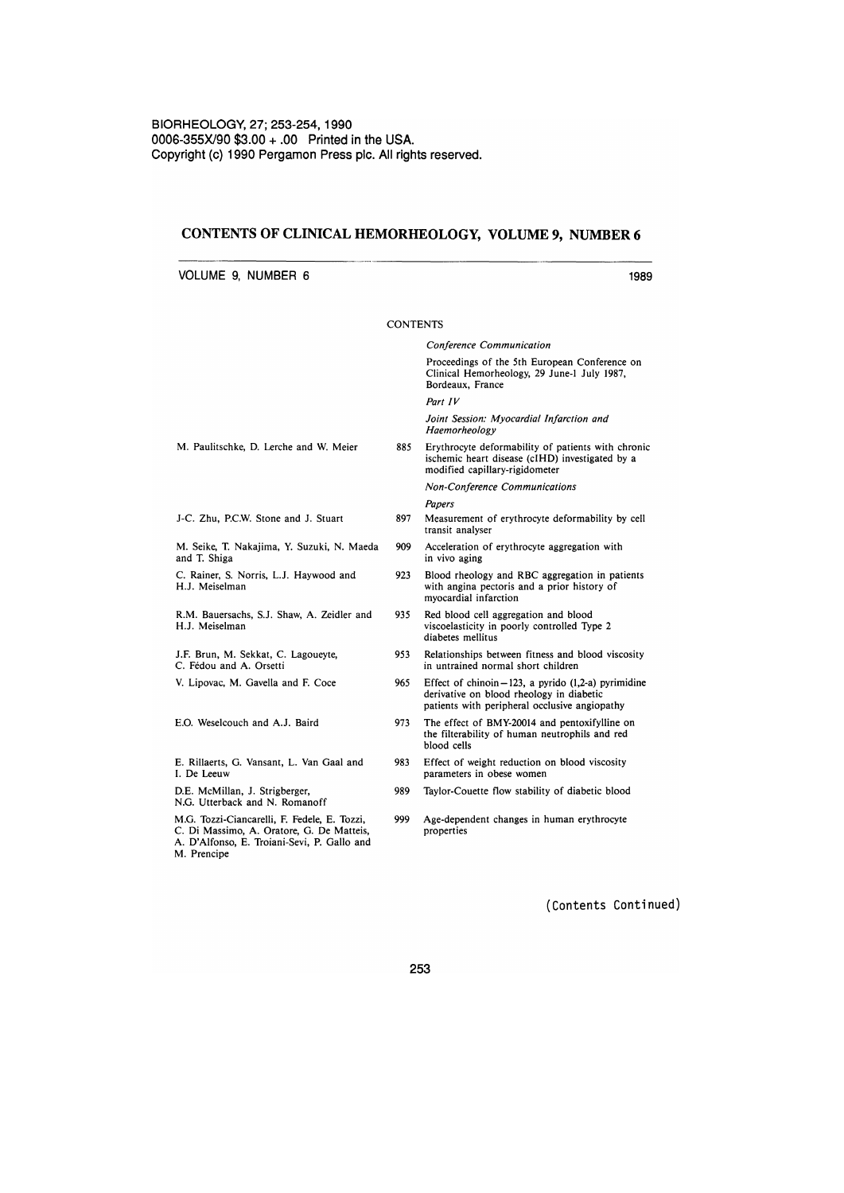## CONTENTS OF CLINICAL HEMORHEOLOGY, VOLUME 9, NUMBER 6

VOLUME 9, NUMBER 6

M. Paulitschke, D. Lerche and W. Meier J-C. Zhu, P.C.W. Stone and J. Stuart M. Seike, T. Nakajima, Y. Suzuki, N. Maeda and T. Shiga C. Rainer, S. Norris, LJ. Haywood and H.J. Meiselman R.M. Bauersachs, S.J. Shaw, A. Zeidler and H.J. Meiselman J.F. Brun, M. Sekkat, C. Lagoueyte, C. Fédou and A. Orsetti V. Lipovac, M. Gavella and F. Coce E.G. Weselcouch and A.J. Baird E. Rillaerts, G. Vansant, L. Van Gaal and 1. De Leeuw D.E. McMillan, J. Strigberger, N.G. Utterback and N. Romanoff M.G. Tozzi-Ciancarelli, F. Fedele, E. Tozzi, C. Di Massimo, A. Oratore, G. De Matteis, A. D'Alfonso, E. Troiani-Sevi, P. Gallo and M. Prencipe **CONTENTS** *Conference Communication*  Proceedings of the 5th European Conference on Clinical Hemorheology, 29 June-l July 1987, Bordeaux, France *Part IV Joint Session: Myocardial Infarction and Haemorheology*  885 Erythrocyte deformability of patients with chronic ischemic heart disease (cJHD) investigated by a modified capillary-rigidometer *Non-Conference Communications Papers*  897 Measurement of erythrocyte deformability by cell transit analyser 909 Acceleration of erythrocyte aggregation with in vivo aging 923 Blood rheology and RBC aggregation in patients with angina pectoris and a prior history of myocardial infarction 935 Red blood cell aggregation and blood viscoelasticity in poorly controlled Type 2 diabetes mellitus 953 Relationships between fitness and blood viscosity in untrained normal short children 965 Effect of chinoin  $-123$ , a pyrido (1,2-a) pyrimidine derivative on blood rheology in diabetic patients with peripheral occlusive angiopathy 973 The effect of BMY-20014 and pentoxifylline on the filterability of human neutrophils and red blood cells 983 Effect of weight reduction on blood viscosity parameters in obese women 989 Taylor-Couette flow stability of diabetic blood 999 Age-dependent changes in human erythrocyte properties

(Contents Continued)

1989